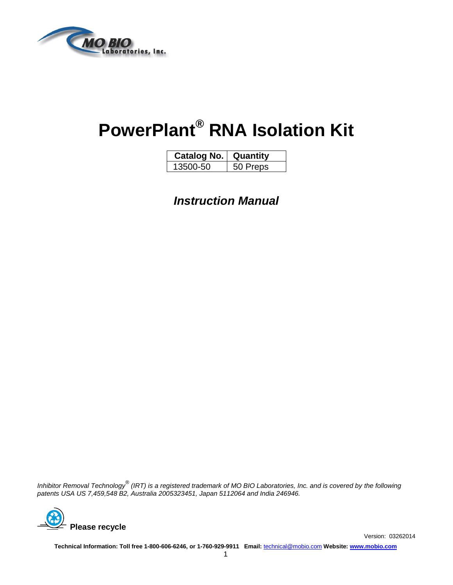

# **PowerPlant® RNA Isolation Kit**

| Catalog No. | Quantitv |
|-------------|----------|
| 13500-50    | 50 Preps |

*Instruction Manual*

*Inhibitor Removal Technology® (IRT) is a registered trademark of MO BIO Laboratories, Inc. and is covered by the following patents USA US 7,459,548 B2, Australia 2005323451, Japan 5112064 and India 246946.*



**Technical Information: Toll free 1-800-606-6246, or 1-760-929-9911 Email:** [technical@mobio.com](mailto:technical@mobio.com) **Website: [www.mobio.com](http://www.mobio.com/)**

Version: 03262014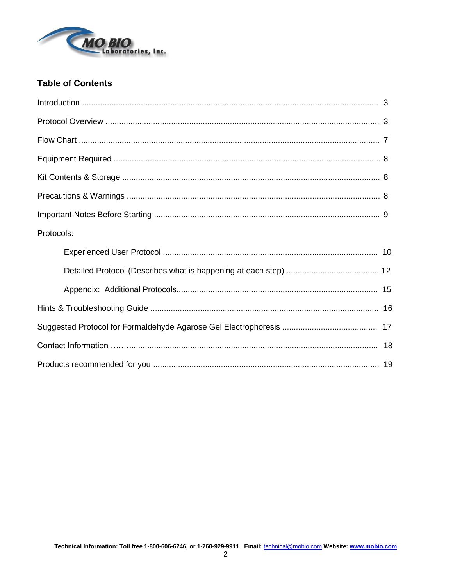

### **Table of Contents**

| Protocols: |  |
|------------|--|
|            |  |
|            |  |
|            |  |
|            |  |
|            |  |
|            |  |
|            |  |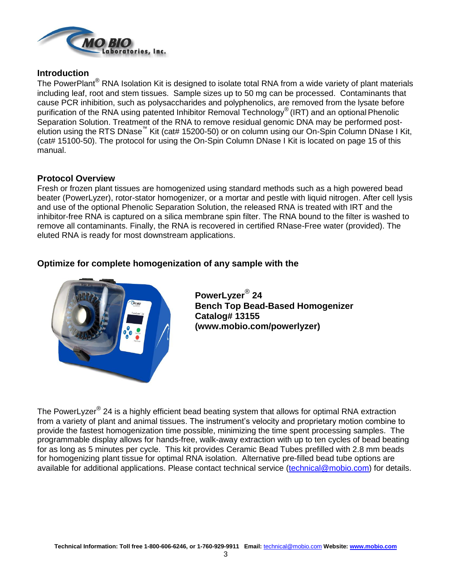

### **Introduction**

The PowerPlant<sup>®</sup> RNA Isolation Kit is designed to isolate total RNA from a wide variety of plant materials including leaf, root and stem tissues. Sample sizes up to 50 mg can be processed. Contaminants that cause PCR inhibition, such as polysaccharides and polyphenolics, are removed from the lysate before purification of the RNA using patented Inhibitor Removal Technology® (IRT) and an optional Phenolic Separation Solution. Treatment of the RNA to remove residual genomic DNA may be performed postelution using the RTS DNase™ Kit (cat# 15200-50) or on column using our On-Spin Column DNase I Kit, (cat# 15100-50). The protocol for using the On-Spin Column DNase I Kit is located on page 15 of this manual.

### **Protocol Overview**

Fresh or frozen plant tissues are homogenized using standard methods such as a high powered bead beater (PowerLyzer), rotor-stator homogenizer, or a mortar and pestle with liquid nitrogen. After cell lysis and use of the optional Phenolic Separation Solution, the released RNA is treated with IRT and the inhibitor-free RNA is captured on a silica membrane spin filter. The RNA bound to the filter is washed to remove all contaminants. Finally, the RNA is recovered in certified RNase-Free water (provided). The eluted RNA is ready for most downstream applications.

### **Optimize for complete homogenization of any sample with the**



**PowerLyzer**® **24 Bench Top Bead-Based Homogenizer Catalog# 13155 (www.mobio.com/powerlyzer)**

The PowerLyzer $^{\circledR}$  24 is a highly efficient bead beating system that allows for optimal RNA extraction from a variety of plant and animal tissues. The instrument's velocity and proprietary motion combine to provide the fastest homogenization time possible, minimizing the time spent processing samples. The programmable display allows for hands-free, walk-away extraction with up to ten cycles of bead beating for as long as 5 minutes per cycle. This kit provides Ceramic Bead Tubes prefilled with 2.8 mm beads for homogenizing plant tissue for optimal RNA isolation. Alternative pre-filled bead tube options are available for additional applications. Please contact technical service [\(technical@mobio.com\)](mailto:technical@mobio.com) for details.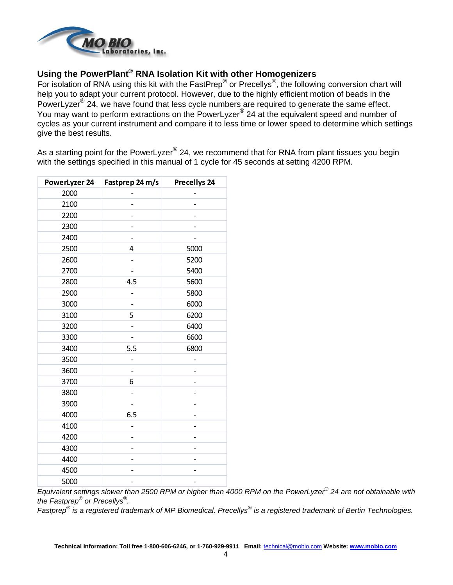

### **Using the PowerPlant® RNA Isolation Kit with other Homogenizers**

For isolation of RNA using this kit with the FastPrep® or Precellys<sup>®</sup>, the following conversion chart will help you to adapt your current protocol. However, due to the highly efficient motion of beads in the PowerLyzer<sup>®</sup> 24, we have found that less cycle numbers are required to generate the same effect. You may want to perform extractions on the PowerLyzer<sup>®</sup> 24 at the equivalent speed and number of cycles as your current instrument and compare it to less time or lower speed to determine which settings give the best results.

As a starting point for the PowerLyzer $^\circledast$  24, we recommend that for RNA from plant tissues you begin with the settings specified in this manual of 1 cycle for 45 seconds at setting 4200 RPM.

| <b>PowerLyzer 24</b> | Fastprep 24 m/s | <b>Precellys 24</b> |
|----------------------|-----------------|---------------------|
| 2000                 |                 |                     |
| 2100                 |                 |                     |
| 2200                 |                 |                     |
| 2300                 |                 |                     |
| 2400                 |                 |                     |
| 2500                 | 4               | 5000                |
| 2600                 |                 | 5200                |
| 2700                 |                 | 5400                |
| 2800                 | 4.5             | 5600                |
| 2900                 |                 | 5800                |
| 3000                 |                 | 6000                |
| 3100                 | 5               | 6200                |
| 3200                 |                 | 6400                |
| 3300                 |                 | 6600                |
| 3400                 | 5.5             | 6800                |
| 3500                 |                 |                     |
| 3600                 |                 |                     |
| 3700                 | 6               |                     |
| 3800                 |                 |                     |
| 3900                 |                 |                     |
| 4000                 | 6.5             |                     |
| 4100                 |                 |                     |
| 4200                 |                 |                     |
| 4300                 |                 |                     |
| 4400                 |                 |                     |
| 4500                 |                 |                     |
| 5000                 |                 | -                   |

*Equivalent settings slower than 2500 RPM or higher than 4000 RPM on the PowerLyzer*® *24 are not obtainable with the Fastprep® or Precellys® .*

*Fastprep*® *is a registered trademark of MP Biomedical. Precellys*® *is a registered trademark of Bertin Technologies.*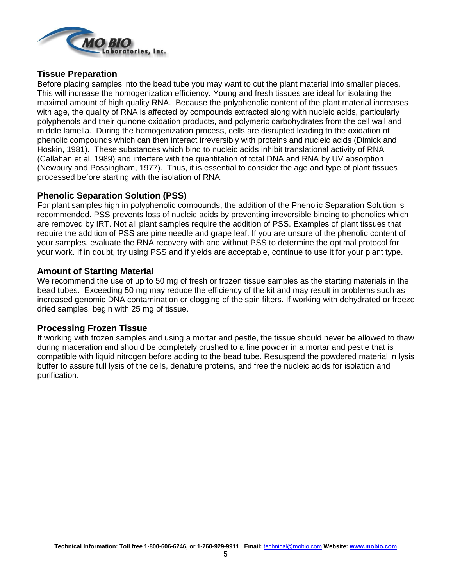

### **Tissue Preparation**

Before placing samples into the bead tube you may want to cut the plant material into smaller pieces. This will increase the homogenization efficiency. Young and fresh tissues are ideal for isolating the maximal amount of high quality RNA. Because the polyphenolic content of the plant material increases with age, the quality of RNA is affected by compounds extracted along with nucleic acids, particularly polyphenols and their quinone oxidation products, and polymeric carbohydrates from the cell wall and middle lamella. During the homogenization process, cells are disrupted leading to the oxidation of phenolic compounds which can then interact irreversibly with proteins and nucleic acids (Dimick and Hoskin, 1981). These substances which bind to nucleic acids inhibit translational activity of RNA (Callahan et al. 1989) and interfere with the quantitation of total DNA and RNA by UV absorption (Newbury and Possingham, 1977). Thus, it is essential to consider the age and type of plant tissues processed before starting with the isolation of RNA.

### **Phenolic Separation Solution (PSS)**

For plant samples high in polyphenolic compounds, the addition of the Phenolic Separation Solution is recommended. PSS prevents loss of nucleic acids by preventing irreversible binding to phenolics which are removed by IRT. Not all plant samples require the addition of PSS. Examples of plant tissues that require the addition of PSS are pine needle and grape leaf. If you are unsure of the phenolic content of your samples, evaluate the RNA recovery with and without PSS to determine the optimal protocol for your work. If in doubt, try using PSS and if yields are acceptable, continue to use it for your plant type.

### **Amount of Starting Material**

We recommend the use of up to 50 mg of fresh or frozen tissue samples as the starting materials in the bead tubes. Exceeding 50 mg may reduce the efficiency of the kit and may result in problems such as increased genomic DNA contamination or clogging of the spin filters. If working with dehydrated or freeze dried samples, begin with 25 mg of tissue.

### **Processing Frozen Tissue**

If working with frozen samples and using a mortar and pestle, the tissue should never be allowed to thaw during maceration and should be completely crushed to a fine powder in a mortar and pestle that is compatible with liquid nitrogen before adding to the bead tube. Resuspend the powdered material in lysis buffer to assure full lysis of the cells, denature proteins, and free the nucleic acids for isolation and purification.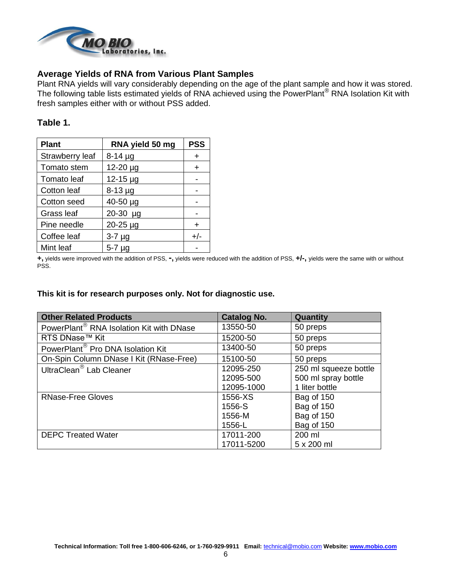

### **Average Yields of RNA from Various Plant Samples**

Plant RNA yields will vary considerably depending on the age of the plant sample and how it was stored. The following table lists estimated yields of RNA achieved using the PowerPlant<sup>®</sup> RNA Isolation Kit with fresh samples either with or without PSS added.

### **Table 1.**

| <b>Plant</b>    | RNA yield 50 mg | <b>PSS</b> |
|-----------------|-----------------|------------|
| Strawberry leaf | $8-14 \mu g$    | ٠          |
| Tomato stem     | 12-20 µg        | $\div$     |
| Tomato leaf     | 12-15 µg        |            |
| Cotton leaf     | $8-13$ µg       |            |
| Cotton seed     | 40-50 µg        |            |
| Grass leaf      | 20-30 µg        |            |
| Pine needle     | 20-25 µg        | $\div$     |
| Coffee leaf     | $3-7 \mu g$     | $+/-$      |
| Mint leaf       | $5-7 \mu g$     |            |

**+,** yields were improved with the addition of PSS, **-,** yields were reduced with the addition of PSS, **+/-,** yields were the same with or without PSS.

#### **This kit is for research purposes only. Not for diagnostic use.**

| <b>Other Related Products</b>                        | <b>Catalog No.</b> | Quantity              |
|------------------------------------------------------|--------------------|-----------------------|
| PowerPlant <sup>®</sup> RNA Isolation Kit with DNase | 13550-50           | 50 preps              |
| RTS DNase™ Kit                                       | 15200-50           | 50 preps              |
| PowerPlant <sup>®</sup> Pro DNA Isolation Kit        | 13400-50           | 50 preps              |
| On-Spin Column DNase I Kit (RNase-Free)              | 15100-50           | 50 preps              |
| UltraClean <sup>®</sup> Lab Cleaner                  | 12095-250          | 250 ml squeeze bottle |
|                                                      | 12095-500          | 500 ml spray bottle   |
|                                                      | 12095-1000         | 1 liter bottle        |
| <b>RNase-Free Gloves</b>                             | 1556-XS            | Bag of 150            |
|                                                      | 1556-S             | Bag of 150            |
|                                                      | 1556-M             | Bag of 150            |
|                                                      | 1556-L             | Bag of 150            |
| <b>DEPC Treated Water</b>                            | 17011-200          | 200 ml                |
|                                                      | 17011-5200         | 5 x 200 ml            |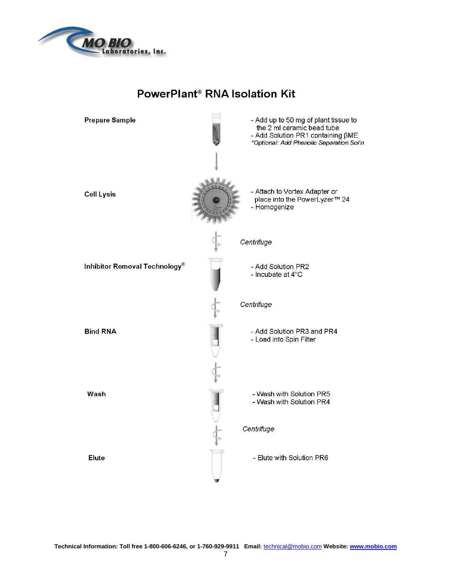

## **PowerPlant® RNA Isolation Kit**

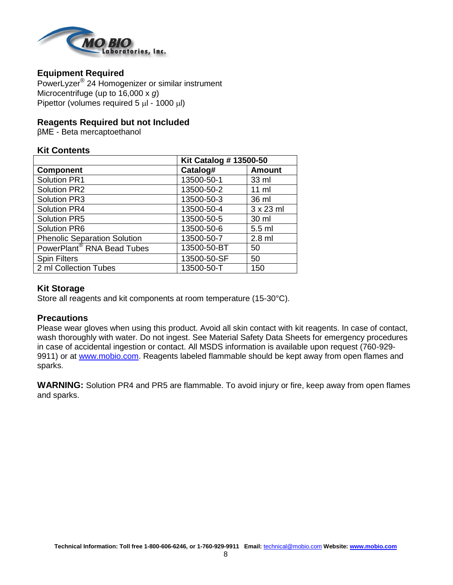

### **Equipment Required**

PowerLyzer® 24 Homogenizer or similar instrument Microcentrifuge (up to 16,000 x *g*) Pipettor (volumes required  $5 \mu$  - 1000  $\mu$ )

### **Reagents Required but not Included**

βME - Beta mercaptoethanol

### **Kit Contents**

|                                        | <b>Kit Catalog # 13500-50</b> |                  |
|----------------------------------------|-------------------------------|------------------|
| <b>Component</b>                       | Catalog#                      | <b>Amount</b>    |
| Solution PR1                           | 13500-50-1                    | 33 ml            |
| <b>Solution PR2</b>                    | 13500-50-2                    | $11 \text{ ml}$  |
| <b>Solution PR3</b>                    | 13500-50-3                    | 36 ml            |
| <b>Solution PR4</b>                    | 13500-50-4                    | $3 \times 23$ ml |
| <b>Solution PR5</b>                    | 13500-50-5                    | 30 ml            |
| <b>Solution PR6</b>                    | 13500-50-6                    | 5.5 ml           |
| <b>Phenolic Separation Solution</b>    | 13500-50-7                    | $2.8$ ml         |
| PowerPlant <sup>®</sup> RNA Bead Tubes | 13500-50-BT                   | 50               |
| <b>Spin Filters</b>                    | 13500-50-SF                   | 50               |
| 2 ml Collection Tubes                  | 13500-50-T                    | 150              |

### **Kit Storage**

Store all reagents and kit components at room temperature (15-30°C).

### **Precautions**

Please wear gloves when using this product. Avoid all skin contact with kit reagents. In case of contact, wash thoroughly with water. Do not ingest. See Material Safety Data Sheets for emergency procedures in case of accidental ingestion or contact. All MSDS information is available upon request (760-929- 9911) or at [www.mobio.com.](http://www.mobio.com/) Reagents labeled flammable should be kept away from open flames and sparks.

**WARNING:** Solution PR4 and PR5 are flammable. To avoid injury or fire, keep away from open flames and sparks.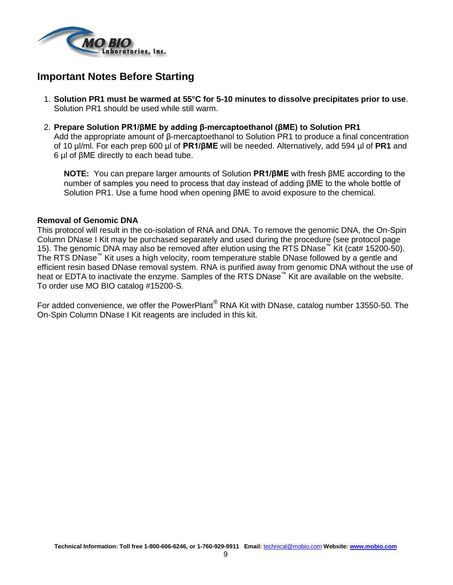

### **Important Notes Before Starting**

- 1. **Solution PR1 must be warmed at 55°C for 5-10 minutes to dissolve precipitates prior to use**. Solution PR1 should be used while still warm.
- 2. **Prepare Solution PR1/βME by adding β-mercaptoethanol (βME) to Solution PR1**

Add the appropriate amount of β-mercaptoethanol to Solution PR1 to produce a final concentration of 10 µl/ml. For each prep 600 µl of **PR1/βME** will be needed. Alternatively, add 594 µl of **PR1** and 6 µl of βME directly to each bead tube.

**NOTE:** You can prepare larger amounts of Solution **PR1/βME** with fresh βME according to the number of samples you need to process that day instead of adding βME to the whole bottle of Solution PR1. Use a fume hood when opening βME to avoid exposure to the chemical.

#### **Removal of Genomic DNA**

This protocol will result in the co-isolation of RNA and DNA. To remove the genomic DNA, the On-Spin Column DNase I Kit may be purchased separately and used during the procedure (see protocol page 15). The genomic DNA may also be removed after elution using the RTS DNase™ Kit (cat# 15200-50). The RTS DNase™ Kit uses a high velocity, room temperature stable DNase followed by a gentle and efficient resin based DNase removal system. RNA is purified away from genomic DNA without the use of heat or EDTA to inactivate the enzyme. Samples of the RTS DNase™ Kit are available on the website. To order use MO BIO catalog #15200-S.

For added convenience, we offer the PowerPlant® RNA Kit with DNase, catalog number 13550-50. The On-Spin Column DNase I Kit reagents are included in this kit.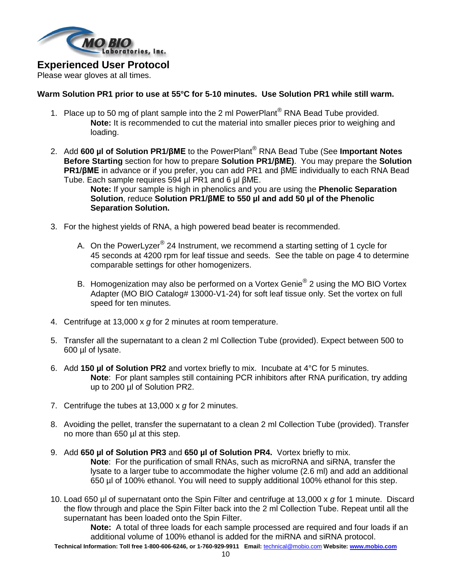

### **Experienced User Protocol**

Please wear gloves at all times.

### **Warm Solution PR1 prior to use at 55°C for 5-10 minutes. Use Solution PR1 while still warm.**

- 1. Place up to 50 mg of plant sample into the 2 ml PowerPlant<sup>®</sup> RNA Bead Tube provided. **Note:** It is recommended to cut the material into smaller pieces prior to weighing and loading.
- 2. Add **600 µl of Solution PR1/βME** to the PowerPlant® RNA Bead Tube (See **Important Notes Before Starting** section for how to prepare **Solution PR1/βME)**. You may prepare the **Solution PR1/βME** in advance or if you prefer, you can add PR1 and βME individually to each RNA Bead Tube. Each sample requires 594 µl PR1 and 6 µl βME.
	- **Note:** If your sample is high in phenolics and you are using the **Phenolic Separation Solution**, reduce **Solution PR1/βME to 550 µl and add 50 µl of the Phenolic Separation Solution.**
- 3. For the highest yields of RNA, a high powered bead beater is recommended.
	- A. On the PowerLyzer $^{\circledR}$  24 Instrument, we recommend a starting setting of 1 cycle for 45 seconds at 4200 rpm for leaf tissue and seeds. See the table on page 4 to determine comparable settings for other homogenizers.
	- B. Homogenization may also be performed on a Vortex Genie $^{\circledR}$  2 using the MO BIO Vortex Adapter (MO BIO Catalog# 13000-V1-24) for soft leaf tissue only. Set the vortex on full speed for ten minutes.
- 4. Centrifuge at 13,000 x *g* for 2 minutes at room temperature.
- 5. Transfer all the supernatant to a clean 2 ml Collection Tube (provided). Expect between 500 to 600 µl of lysate.
- 6. Add **150 µl of Solution PR2** and vortex briefly to mix. Incubate at 4°C for 5 minutes. **Note**: For plant samples still containing PCR inhibitors after RNA purification, try adding up to 200 µl of Solution PR2.
- 7. Centrifuge the tubes at 13,000 x *g* for 2 minutes.
- 8. Avoiding the pellet, transfer the supernatant to a clean 2 ml Collection Tube (provided). Transfer no more than 650 µl at this step.
- 9. Add **650 µl of Solution PR3** and **650 µl of Solution PR4.** Vortex briefly to mix. **Note**: For the purification of small RNAs, such as microRNA and siRNA, transfer the lysate to a larger tube to accommodate the higher volume (2.6 ml) and add an additional 650 µl of 100% ethanol. You will need to supply additional 100% ethanol for this step.
- 10. Load 650 µl of supernatant onto the Spin Filter and centrifuge at 13,000 x *g* for 1 minute. Discard the flow through and place the Spin Filter back into the 2 ml Collection Tube. Repeat until all the supernatant has been loaded onto the Spin Filter.

**Note:** A total of three loads for each sample processed are required and four loads if an additional volume of 100% ethanol is added for the miRNA and siRNA protocol.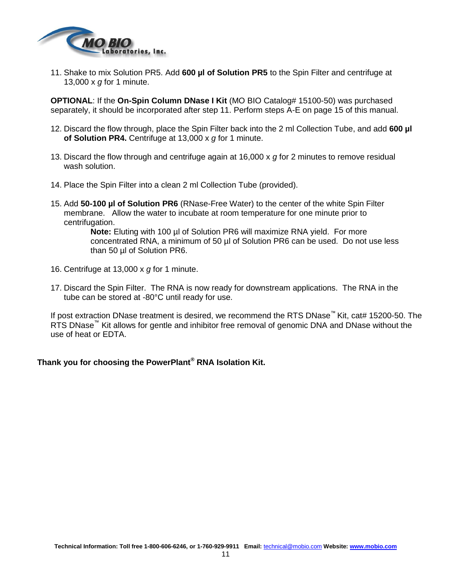

11. Shake to mix Solution PR5. Add **600 µl of Solution PR5** to the Spin Filter and centrifuge at 13,000 x *g* for 1 minute.

**OPTIONAL**: If the **On-Spin Column DNase I Kit** (MO BIO Catalog# 15100-50) was purchased separately, it should be incorporated after step 11. Perform steps A-E on page 15 of this manual.

- 12. Discard the flow through, place the Spin Filter back into the 2 ml Collection Tube, and add **600 µl of Solution PR4.** Centrifuge at 13,000 x *g* for 1 minute.
- 13. Discard the flow through and centrifuge again at 16,000 x *g* for 2 minutes to remove residual wash solution.
- 14. Place the Spin Filter into a clean 2 ml Collection Tube (provided).
- 15. Add **50-100 µl of Solution PR6** (RNase-Free Water) to the center of the white Spin Filter membrane. Allow the water to incubate at room temperature for one minute prior to centrifugation.

**Note:** Eluting with 100 µl of Solution PR6 will maximize RNA yield. For more concentrated RNA, a minimum of 50 µl of Solution PR6 can be used. Do not use less than 50 µl of Solution PR6.

- 16. Centrifuge at 13,000 x *g* for 1 minute.
- 17. Discard the Spin Filter. The RNA is now ready for downstream applications. The RNA in the tube can be stored at -80°C until ready for use.

If post extraction DNase treatment is desired, we recommend the RTS DNase™ Kit, cat# 15200-50. The RTS DNase<sup>™</sup> Kit allows for gentle and inhibitor free removal of genomic DNA and DNase without the use of heat or EDTA.

### **Thank you for choosing the PowerPlant® RNA Isolation Kit.**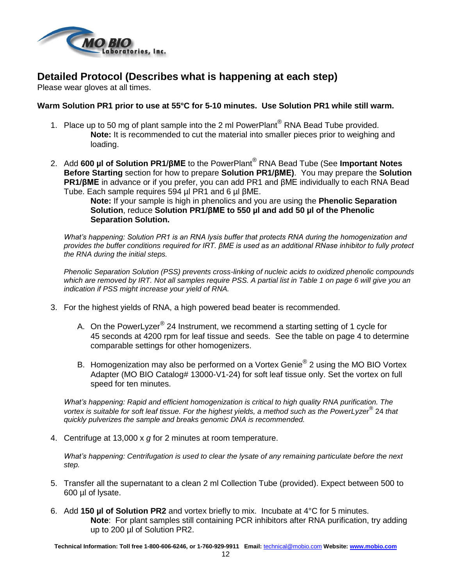

### **Detailed Protocol (Describes what is happening at each step)**

Please wear gloves at all times.

### **Warm Solution PR1 prior to use at 55°C for 5-10 minutes. Use Solution PR1 while still warm.**

- 1. Place up to 50 mg of plant sample into the 2 ml PowerPlant<sup>®</sup> RNA Bead Tube provided. **Note:** It is recommended to cut the material into smaller pieces prior to weighing and loading.
- 2. Add **600 µl of Solution PR1/βME** to the PowerPlant® RNA Bead Tube (See **Important Notes Before Starting** section for how to prepare **Solution PR1/βME)**. You may prepare the **Solution PR1/βME** in advance or if you prefer, you can add PR1 and βME individually to each RNA Bead Tube. Each sample requires 594 µl PR1 and 6 µl βME.

**Note:** If your sample is high in phenolics and you are using the **Phenolic Separation Solution**, reduce **Solution PR1/βME to 550 µl and add 50 µl of the Phenolic Separation Solution.**

*What's happening: Solution PR1 is an RNA lysis buffer that protects RNA during the homogenization and provides the buffer conditions required for IRT. βME is used as an additional RNase inhibitor to fully protect the RNA during the initial steps.*

*Phenolic Separation Solution (PSS) prevents cross-linking of nucleic acids to oxidized phenolic compounds which are removed by IRT. Not all samples require PSS. A partial list in Table 1 on page 6 will give you an indication if PSS might increase your yield of RNA.*

- 3. For the highest yields of RNA, a high powered bead beater is recommended.
	- A. On the PowerLyzer $^{\circledR}$  24 Instrument, we recommend a starting setting of 1 cycle for 45 seconds at 4200 rpm for leaf tissue and seeds. See the table on page 4 to determine comparable settings for other homogenizers.
	- B. Homogenization may also be performed on a Vortex Genie $^{\circledR}$  2 using the MO BIO Vortex Adapter (MO BIO Catalog# 13000-V1-24) for soft leaf tissue only. Set the vortex on full speed for ten minutes.

*What's happening: Rapid and efficient homogenization is critical to high quality RNA purification. The vortex is suitable for soft leaf tissue. For the highest yields, a method such as the PowerLyzer*® 24 *that quickly pulverizes the sample and breaks genomic DNA is recommended.*

4. Centrifuge at 13,000 x *g* for 2 minutes at room temperature.

*What's happening: Centrifugation is used to clear the lysate of any remaining particulate before the next step.*

- 5. Transfer all the supernatant to a clean 2 ml Collection Tube (provided). Expect between 500 to 600 µl of lysate.
- 6. Add **150 µl of Solution PR2** and vortex briefly to mix. Incubate at 4°C for 5 minutes. **Note**: For plant samples still containing PCR inhibitors after RNA purification, try adding up to 200 µl of Solution PR2.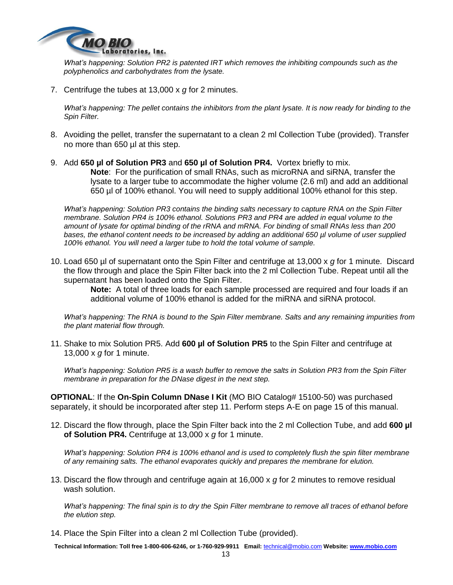

*What's happening: Solution PR2 is patented IRT which removes the inhibiting compounds such as the polyphenolics and carbohydrates from the lysate.* 

7. Centrifuge the tubes at 13,000 x *g* for 2 minutes.

*What's happening: The pellet contains the inhibitors from the plant lysate. It is now ready for binding to the Spin Filter.* 

- 8. Avoiding the pellet, transfer the supernatant to a clean 2 ml Collection Tube (provided). Transfer no more than 650 µl at this step.
- 9. Add **650 µl of Solution PR3** and **650 µl of Solution PR4.** Vortex briefly to mix. **Note**: For the purification of small RNAs, such as microRNA and siRNA, transfer the lysate to a larger tube to accommodate the higher volume (2.6 ml) and add an additional 650 µl of 100% ethanol. You will need to supply additional 100% ethanol for this step.

*What's happening: Solution PR3 contains the binding salts necessary to capture RNA on the Spin Filter membrane. Solution PR4 is 100% ethanol. Solutions PR3 and PR4 are added in equal volume to the amount of lysate for optimal binding of the rRNA and mRNA. For binding of small RNAs less than 200 bases, the ethanol content needs to be increased by adding an additional 650 µl volume of user supplied 100% ethanol. You will need a larger tube to hold the total volume of sample.* 

10. Load 650 µl of supernatant onto the Spin Filter and centrifuge at 13,000 x *g* for 1 minute. Discard the flow through and place the Spin Filter back into the 2 ml Collection Tube. Repeat until all the supernatant has been loaded onto the Spin Filter.

> **Note:** A total of three loads for each sample processed are required and four loads if an additional volume of 100% ethanol is added for the miRNA and siRNA protocol.

*What's happening: The RNA is bound to the Spin Filter membrane. Salts and any remaining impurities from the plant material flow through.* 

11. Shake to mix Solution PR5. Add **600 µl of Solution PR5** to the Spin Filter and centrifuge at 13,000 x *g* for 1 minute.

*What's happening: Solution PR5 is a wash buffer to remove the salts in Solution PR3 from the Spin Filter membrane in preparation for the DNase digest in the next step.*

**OPTIONAL**: If the **On-Spin Column DNase I Kit** (MO BIO Catalog# 15100-50) was purchased separately, it should be incorporated after step 11. Perform steps A-E on page 15 of this manual.

12. Discard the flow through, place the Spin Filter back into the 2 ml Collection Tube, and add **600 µl of Solution PR4.** Centrifuge at 13,000 x *g* for 1 minute.

*What's happening: Solution PR4 is 100% ethanol and is used to completely flush the spin filter membrane of any remaining salts. The ethanol evaporates quickly and prepares the membrane for elution.*

13. Discard the flow through and centrifuge again at 16,000 x *g* for 2 minutes to remove residual wash solution.

*What's happening: The final spin is to dry the Spin Filter membrane to remove all traces of ethanol before the elution step.*

14. Place the Spin Filter into a clean 2 ml Collection Tube (provided).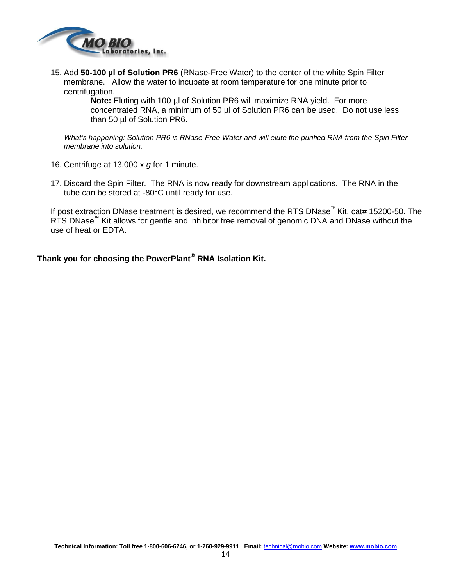

15. Add **50-100 µl of Solution PR6** (RNase-Free Water) to the center of the white Spin Filter membrane. Allow the water to incubate at room temperature for one minute prior to centrifugation.

> **Note:** Eluting with 100 µl of Solution PR6 will maximize RNA yield. For more concentrated RNA, a minimum of 50 µl of Solution PR6 can be used. Do not use less than 50 µl of Solution PR6.

*What's happening: Solution PR6 is RNase-Free Water and will elute the purified RNA from the Spin Filter membrane into solution.* 

- 16. Centrifuge at 13,000 x *g* for 1 minute.
- 17. Discard the Spin Filter. The RNA is now ready for downstream applications. The RNA in the tube can be stored at -80°C until ready for use.

If post extraction DNase treatment is desired, we recommend the RTS DNase™ Kit, cat# 15200-50. The RTS DNase<sup>™</sup> Kit allows for gentle and inhibitor free removal of genomic DNA and DNase without the use of heat or EDTA.

**Thank you for choosing the PowerPlant® RNA Isolation Kit.**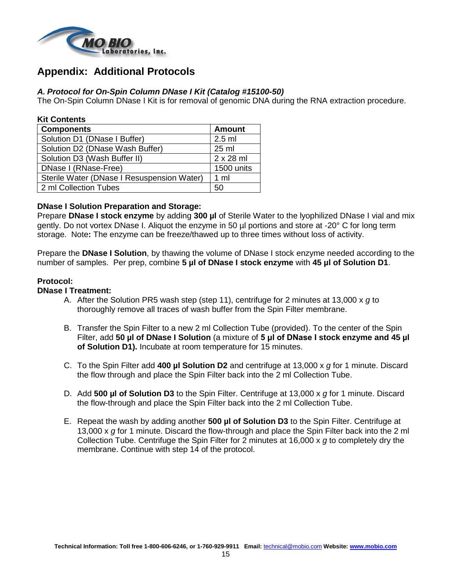

### **Appendix: Additional Protocols**

### *A. Protocol for On-Spin Column DNase I Kit (Catalog #15100-50)*

The On-Spin Column DNase I Kit is for removal of genomic DNA during the RNA extraction procedure.

| <b>Kit Contents</b>                        |                  |
|--------------------------------------------|------------------|
| <b>Components</b>                          | <b>Amount</b>    |
| Solution D1 (DNase I Buffer)               | $2.5$ ml         |
| Solution D2 (DNase Wash Buffer)            | $25 \text{ ml}$  |
| Solution D3 (Wash Buffer II)               | $2 \times 28$ ml |
| DNase I (RNase-Free)                       | 1500 units       |
| Sterile Water (DNase I Resuspension Water) | 1 <sub>m</sub>   |
| 2 ml Collection Tubes                      | 50               |

### **DNase I Solution Preparation and Storage:**

Prepare **DNase I stock enzyme** by adding **300 µl** of Sterile Water to the lyophilized DNase I vial and mix gently. Do not vortex DNase I. Aliquot the enzyme in 50 µl portions and store at -20° C for long term storage. Note**:** The enzyme can be freeze/thawed up to three times without loss of activity.

Prepare the **DNase I Solution**, by thawing the volume of DNase I stock enzyme needed according to the number of samples. Per prep, combine **5 µl of DNase I stock enzyme** with **45 µl of Solution D1**.

#### **Protocol:**

#### **DNase I Treatment:**

- A. After the Solution PR5 wash step (step 11), centrifuge for 2 minutes at 13,000 x *g* to thoroughly remove all traces of wash buffer from the Spin Filter membrane.
- B. Transfer the Spin Filter to a new 2 ml Collection Tube (provided). To the center of the Spin Filter, add **50 µl of DNase I Solution** (a mixture of **5 μl of DNase I stock enzyme and 45 µl of Solution D1).** Incubate at room temperature for 15 minutes.
- C. To the Spin Filter add **400 µl Solution D2** and centrifuge at 13,000 x *g* for 1 minute. Discard the flow through and place the Spin Filter back into the 2 ml Collection Tube.
- D. Add **500 µl of Solution D3** to the Spin Filter. Centrifuge at 13,000 x *g* for 1 minute. Discard the flow-through and place the Spin Filter back into the 2 ml Collection Tube.
- E. Repeat the wash by adding another **500 µl of Solution D3** to the Spin Filter. Centrifuge at 13,000 x *g* for 1 minute. Discard the flow-through and place the Spin Filter back into the 2 ml Collection Tube. Centrifuge the Spin Filter for 2 minutes at 16,000 x *g* to completely dry the membrane. Continue with step 14 of the protocol.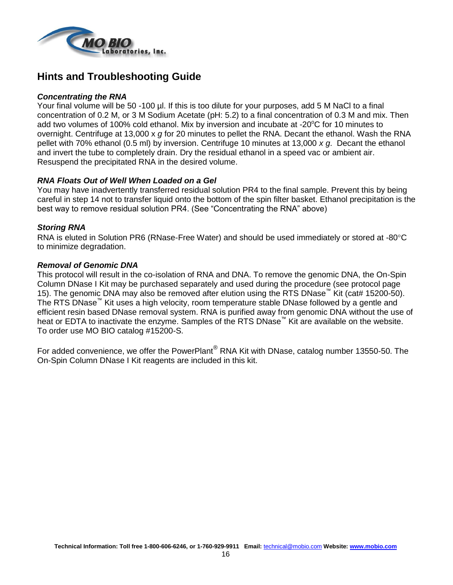

### **Hints and Troubleshooting Guide**

#### *Concentrating the RNA*

Your final volume will be 50 -100 µl. If this is too dilute for your purposes, add 5 M NaCl to a final concentration of 0.2 M, or 3 M Sodium Acetate (pH: 5.2) to a final concentration of 0.3 M and mix. Then add two volumes of 100% cold ethanol. Mix by inversion and incubate at -20 $\degree$ C for 10 minutes to overnight. Centrifuge at 13,000 x *g* for 20 minutes to pellet the RNA. Decant the ethanol. Wash the RNA pellet with 70% ethanol (0.5 ml) by inversion. Centrifuge 10 minutes at 13,000 *x g*. Decant the ethanol and invert the tube to completely drain. Dry the residual ethanol in a speed vac or ambient air. Resuspend the precipitated RNA in the desired volume.

### *RNA Floats Out of Well When Loaded on a Gel*

You may have inadvertently transferred residual solution PR4 to the final sample. Prevent this by being careful in step 14 not to transfer liquid onto the bottom of the spin filter basket. Ethanol precipitation is the best way to remove residual solution PR4. (See "Concentrating the RNA" above)

### *Storing RNA*

RNA is eluted in Solution PR6 (RNase-Free Water) and should be used immediately or stored at -80 $\degree$ C to minimize degradation.

### *Removal of Genomic DNA*

This protocol will result in the co-isolation of RNA and DNA. To remove the genomic DNA, the On-Spin Column DNase I Kit may be purchased separately and used during the procedure (see protocol page 15). The genomic DNA may also be removed after elution using the RTS DNase™ Kit (cat# 15200-50). The RTS DNase™ Kit uses a high velocity, room temperature stable DNase followed by a gentle and efficient resin based DNase removal system. RNA is purified away from genomic DNA without the use of heat or EDTA to inactivate the enzyme. Samples of the RTS DNase<sup>™</sup> Kit are available on the website. To order use MO BIO catalog #15200-S.

For added convenience, we offer the PowerPlant® RNA Kit with DNase, catalog number 13550-50. The On-Spin Column DNase I Kit reagents are included in this kit.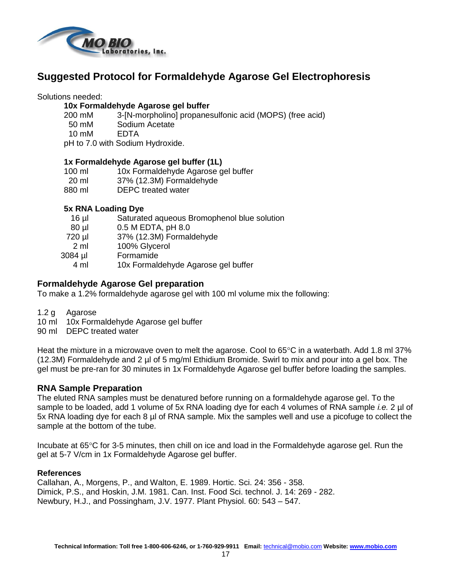

### **Suggested Protocol for Formaldehyde Agarose Gel Electrophoresis**

Solutions needed:

#### **10x Formaldehyde Agarose gel buffer**

- 200 mM 3-[N-morpholino] propanesulfonic acid (MOPS) (free acid)
- 50 mM Sodium Acetate
- 10 mM EDTA

pH to 7.0 with Sodium Hydroxide.

### **1x Formaldehyde Agarose gel buffer (1L)**

- 100 ml 10x Formaldehyde Agarose gel buffer
- 20 ml 37% (12.3M) Formaldehyde
- 880 ml DEPC treated water

### **5x RNA Loading Dye**

- 16 µl Saturated aqueous Bromophenol blue solution
- 80 µl 0.5 M EDTA, pH 8.0
- 720 µl 37% (12.3M) Formaldehyde
- 2 ml 100% Glycerol
- 3084 µl Formamide
	- 4 ml 10x Formaldehyde Agarose gel buffer

### **Formaldehyde Agarose Gel preparation**

To make a 1.2% formaldehyde agarose gel with 100 ml volume mix the following:

- 1.2 g Agarose
- 10 ml 10x Formaldehyde Agarose gel buffer
- 90 ml DEPC treated water

Heat the mixture in a microwave oven to melt the agarose. Cool to  $65^{\circ}$ C in a waterbath. Add 1.8 ml 37% (12.3M) Formaldehyde and 2 µl of 5 mg/ml Ethidium Bromide. Swirl to mix and pour into a gel box. The gel must be pre-ran for 30 minutes in 1x Formaldehyde Agarose gel buffer before loading the samples.

### **RNA Sample Preparation**

The eluted RNA samples must be denatured before running on a formaldehyde agarose gel. To the sample to be loaded, add 1 volume of 5x RNA loading dye for each 4 volumes of RNA sample *i.e.* 2 µl of 5x RNA loading dye for each 8 µl of RNA sample. Mix the samples well and use a picofuge to collect the sample at the bottom of the tube.

Incubate at 65°C for 3-5 minutes, then chill on ice and load in the Formaldehyde agarose gel. Run the gel at 5-7 V/cm in 1x Formaldehyde Agarose gel buffer.

### **References**

Callahan, A., Morgens, P., and Walton, E. 1989. Hortic. Sci. 24: 356 - 358. Dimick, P.S., and Hoskin, J.M. 1981. Can. Inst. Food Sci. technol. J. 14: 269 - 282. Newbury, H.J., and Possingham, J.V. 1977. Plant Physiol. 60: 543 – 547.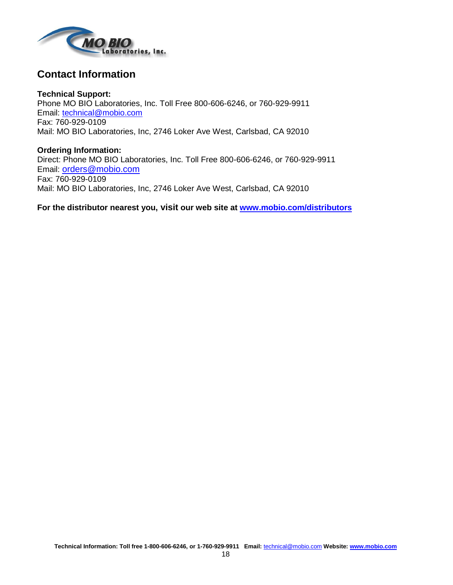

### **Contact Information**

**Technical Support:** Phone MO BIO Laboratories, Inc. Toll Free 800-606-6246, or 760-929-9911 Email: [technical@mobio.com](mailto:technical@mobio.com) Fax: 760-929-0109 Mail: MO BIO Laboratories, Inc, 2746 Loker Ave West, Carlsbad, CA 92010

**Ordering Information:** Direct: Phone MO BIO Laboratories, Inc. Toll Free 800-606-6246, or 760-929-9911 Email: [orders@mobio.com](mailto:orders@mobio.com) Fax: 760-929-0109 Mail: MO BIO Laboratories, Inc, 2746 Loker Ave West, Carlsbad, CA 92010

**For the distributor nearest you, visit our web site at www.mobio.com/distributors**